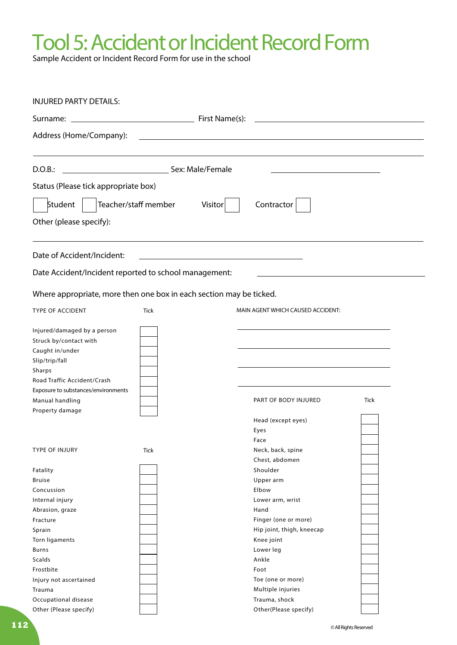## Tool 5: Accident or Incident Record Form

Sample Accident or Incident Record Form for use in the school

| <b>INJURED PARTY DETAILS:</b>                                                                                                                    |             |  |                                   |      |  |  |
|--------------------------------------------------------------------------------------------------------------------------------------------------|-------------|--|-----------------------------------|------|--|--|
| First Name(s):<br><u> 1980 - Johann Barn, mars an t-Amerikaansk politiker (</u><br>Surname: _                                                    |             |  |                                   |      |  |  |
| Address (Home/Company):<br><u> 1989 - Johann Barn, mars ann an t-Amhain Aonaich an t-Aonaich an t-Aonaich an t-Aonaich an t-Aonaich an t-Aon</u> |             |  |                                   |      |  |  |
| Sex: Male/Female<br>D.O.B.:                                                                                                                      |             |  |                                   |      |  |  |
| Status (Please tick appropriate box)                                                                                                             |             |  |                                   |      |  |  |
|                                                                                                                                                  |             |  |                                   |      |  |  |
| Teacher/staff member<br>Student<br>Contractor<br>Visitor                                                                                         |             |  |                                   |      |  |  |
| Other (please specify):                                                                                                                          |             |  |                                   |      |  |  |
| Date of Accident/Incident:                                                                                                                       |             |  |                                   |      |  |  |
| Date Accident/Incident reported to school management:                                                                                            |             |  |                                   |      |  |  |
| Where appropriate, more then one box in each section may be ticked.                                                                              |             |  |                                   |      |  |  |
| <b>TYPE OF ACCIDENT</b>                                                                                                                          | <b>Tick</b> |  | MAIN AGENT WHICH CAUSED ACCIDENT: |      |  |  |
| Injured/damaged by a person<br>Struck by/contact with<br>Caught in/under<br>Slip/trip/fall<br>Sharps                                             |             |  |                                   |      |  |  |
| Road Traffic Accident/Crash                                                                                                                      |             |  |                                   |      |  |  |
| Exposure to substances/environments<br>Manual handling<br>Property damage                                                                        |             |  | PART OF BODY INJURED              | Tick |  |  |
|                                                                                                                                                  |             |  | Head (except eyes)                |      |  |  |
|                                                                                                                                                  |             |  | Eyes                              |      |  |  |
|                                                                                                                                                  |             |  | Face                              |      |  |  |
| <b>TYPE OF INJURY</b>                                                                                                                            | <b>Tick</b> |  | Neck, back, spine                 |      |  |  |
|                                                                                                                                                  |             |  | Chest, abdomen                    |      |  |  |
| Fatality<br><b>Bruise</b>                                                                                                                        |             |  | Shoulder<br>Upper arm             |      |  |  |
| Concussion                                                                                                                                       |             |  | Elbow                             |      |  |  |
| Internal injury                                                                                                                                  |             |  | Lower arm, wrist                  |      |  |  |
| Abrasion, graze                                                                                                                                  |             |  | Hand                              |      |  |  |
| Fracture                                                                                                                                         |             |  | Finger (one or more)              |      |  |  |
| Sprain                                                                                                                                           |             |  | Hip joint, thigh, kneecap         |      |  |  |
| Torn ligaments                                                                                                                                   |             |  | Knee joint                        |      |  |  |
| Burns                                                                                                                                            |             |  | Lower leg                         |      |  |  |
| Scalds                                                                                                                                           |             |  | Ankle                             |      |  |  |
| Frostbite                                                                                                                                        |             |  | Foot                              |      |  |  |
| Injury not ascertained                                                                                                                           |             |  | Toe (one or more)                 |      |  |  |
| Trauma                                                                                                                                           |             |  | Multiple injuries                 |      |  |  |
| Occupational disease                                                                                                                             |             |  | Trauma, shock                     |      |  |  |
| Other (Please specify)                                                                                                                           |             |  | Other(Please specify)             |      |  |  |